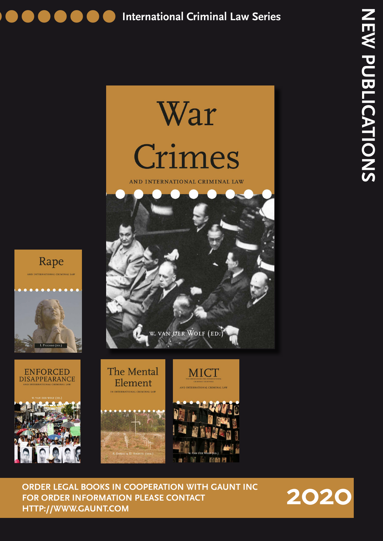



**TATA**